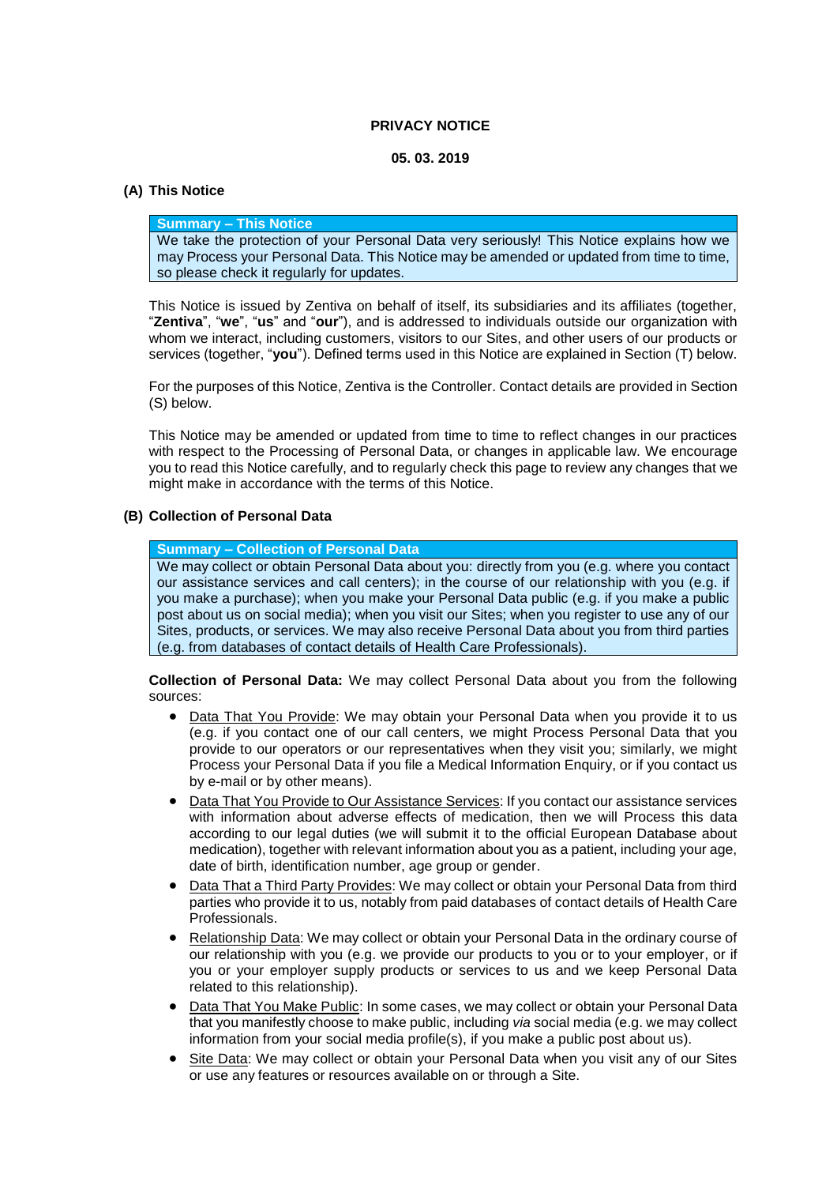#### **PRIVACY NOTICE**

#### **05. 03. 2019**

### **(A) This Notice**

### **Summary – This Notice**

We take the protection of your Personal Data very seriously! This Notice explains how we may Process your Personal Data. This Notice may be amended or updated from time to time, so please check it regularly for updates.

This Notice is issued by Zentiva on behalf of itself, its subsidiaries and its affiliates (together, "**Zentiva**", "**we**", "**us**" and "**our**"), and is addressed to individuals outside our organization with whom we interact, including customers, visitors to our Sites, and other users of our products or services (together, "**you**"). Defined terms used in this Notice are explained in Section [\(T\)](#page-10-0) below.

For the purposes of this Notice, Zentiva is the Controller. Contact details are provided in Section [\(S\)](#page-9-0) below.

This Notice may be amended or updated from time to time to reflect changes in our practices with respect to the Processing of Personal Data, or changes in applicable law. We encourage you to read this Notice carefully, and to regularly check this page to review any changes that we might make in accordance with the terms of this Notice.

## **(B) Collection of Personal Data**

#### **Summary – Collection of Personal Data**

We may collect or obtain Personal Data about you: directly from you (e.g. where you contact our assistance services and call centers); in the course of our relationship with you (e.g. if you make a purchase); when you make your Personal Data public (e.g. if you make a public post about us on social media); when you visit our Sites; when you register to use any of our Sites, products, or services. We may also receive Personal Data about you from third parties (e.g. from databases of contact details of Health Care Professionals).

**Collection of Personal Data:** We may collect Personal Data about you from the following sources:

- Data That You Provide: We may obtain your Personal Data when you provide it to us (e.g. if you contact one of our call centers, we might Process Personal Data that you provide to our operators or our representatives when they visit you; similarly, we might Process your Personal Data if you file a Medical Information Enquiry, or if you contact us by e-mail or by other means).
- Data That You Provide to Our Assistance Services: If you contact our assistance services with information about adverse effects of medication, then we will Process this data according to our legal duties (we will submit it to the official European Database about medication), together with relevant information about you as a patient, including your age, date of birth, identification number, age group or gender.
- Data That a Third Party Provides: We may collect or obtain your Personal Data from third parties who provide it to us, notably from paid databases of contact details of Health Care Professionals.
- Relationship Data: We may collect or obtain your Personal Data in the ordinary course of our relationship with you (e.g. we provide our products to you or to your employer, or if you or your employer supply products or services to us and we keep Personal Data related to this relationship).
- Data That You Make Public: In some cases, we may collect or obtain your Personal Data that you manifestly choose to make public, including *via* social media (e.g. we may collect information from your social media profile(s), if you make a public post about us).
- Site Data: We may collect or obtain your Personal Data when you visit any of our Sites or use any features or resources available on or through a Site.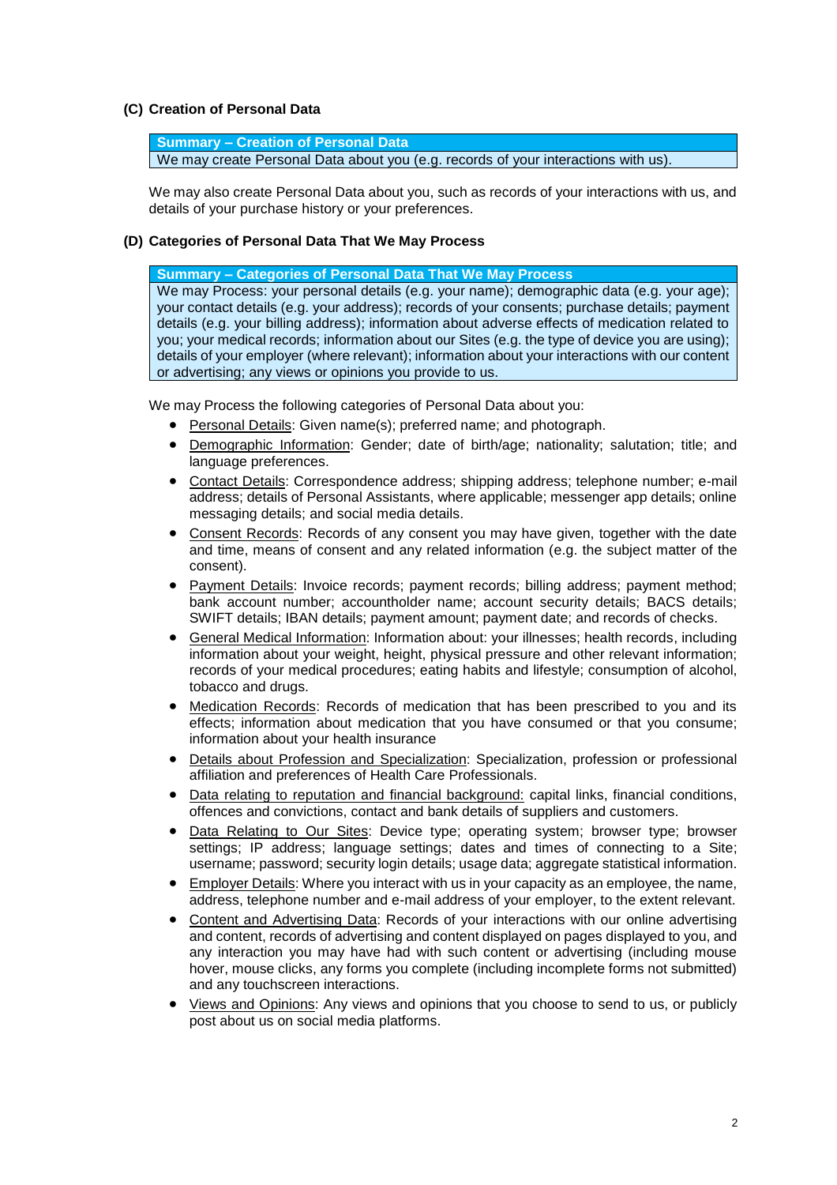### **(C) Creation of Personal Data**

**Summary – Creation of Personal Data** We may create Personal Data about you (e.g. records of your interactions with us).

We may also create Personal Data about you, such as records of your interactions with us, and details of your purchase history or your preferences.

#### **(D) Categories of Personal Data That We May Process**

**Summary – Categories of Personal Data That We May Process**

We may Process: your personal details (e.g. your name); demographic data (e.g. your age); your contact details (e.g. your address); records of your consents; purchase details; payment details (e.g. your billing address); information about adverse effects of medication related to you; your medical records; information about our Sites (e.g. the type of device you are using); details of your employer (where relevant); information about your interactions with our content or advertising; any views or opinions you provide to us.

We may Process the following categories of Personal Data about you:

- Personal Details: Given name(s); preferred name; and photograph.
- Demographic Information: Gender; date of birth/age; nationality; salutation; title; and language preferences.
- Contact Details: Correspondence address; shipping address; telephone number; e-mail address; details of Personal Assistants, where applicable; messenger app details; online messaging details; and social media details.
- Consent Records: Records of any consent you may have given, together with the date and time, means of consent and any related information (e.g. the subject matter of the consent).
- Payment Details: Invoice records; payment records; billing address; payment method; bank account number; accountholder name; account security details; BACS details; SWIFT details; IBAN details; payment amount; payment date; and records of checks.
- General Medical Information: Information about: your illnesses; health records, including information about your weight, height, physical pressure and other relevant information; records of your medical procedures; eating habits and lifestyle; consumption of alcohol, tobacco and drugs.
- Medication Records: Records of medication that has been prescribed to you and its effects; information about medication that you have consumed or that you consume; information about your health insurance
- Details about Profession and Specialization: Specialization, profession or professional affiliation and preferences of Health Care Professionals.
- Data relating to reputation and financial background: capital links, financial conditions, offences and convictions, contact and bank details of suppliers and customers.
- Data Relating to Our Sites: Device type; operating system; browser type; browser settings; IP address; language settings; dates and times of connecting to a Site; username; password; security login details; usage data; aggregate statistical information.
- Employer Details: Where you interact with us in your capacity as an employee, the name, address, telephone number and e-mail address of your employer, to the extent relevant.
- Content and Advertising Data: Records of your interactions with our online advertising and content, records of advertising and content displayed on pages displayed to you, and any interaction you may have had with such content or advertising (including mouse hover, mouse clicks, any forms you complete (including incomplete forms not submitted) and any touchscreen interactions.
- Views and Opinions: Any views and opinions that you choose to send to us, or publicly post about us on social media platforms.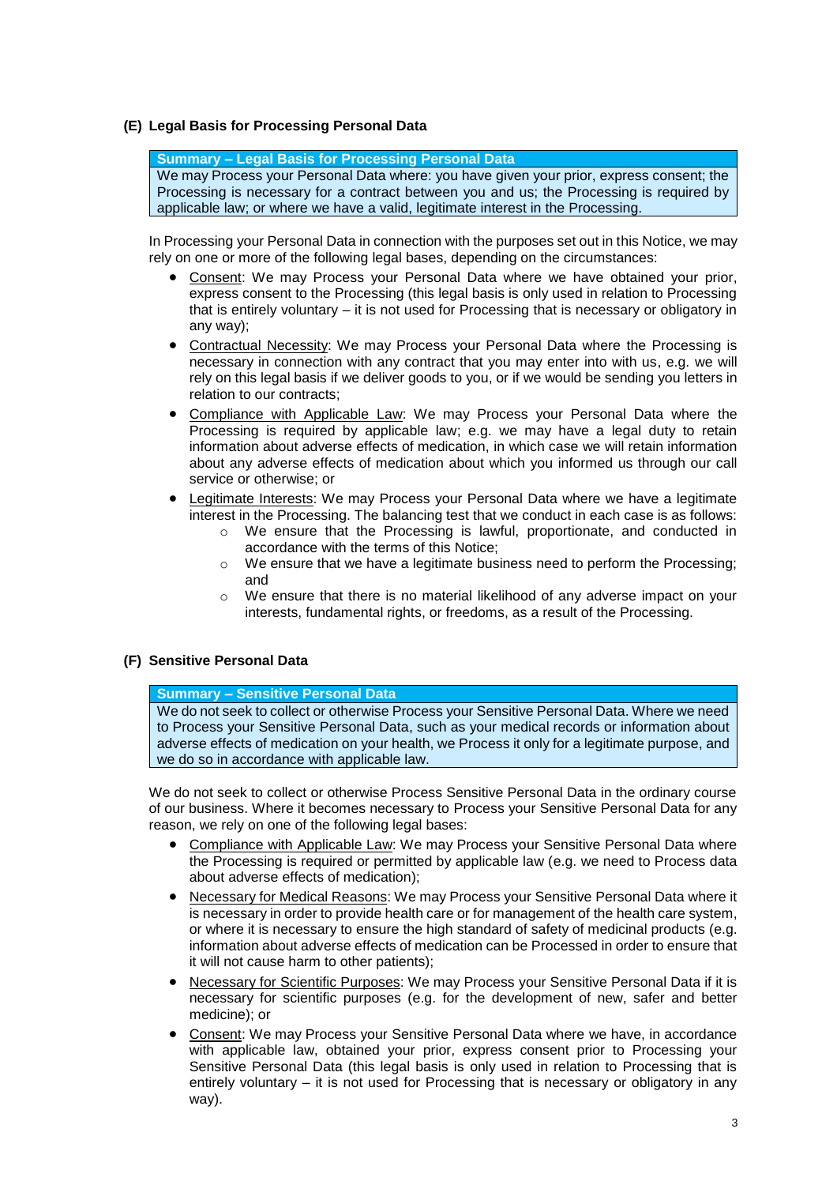## **(E) Legal Basis for Processing Personal Data**

**Summary – Legal Basis for Processing Personal Data** We may Process your Personal Data where: you have given your prior, express consent; the Processing is necessary for a contract between you and us; the Processing is required by applicable law; or where we have a valid, legitimate interest in the Processing.

In Processing your Personal Data in connection with the purposes set out in this Notice, we may rely on one or more of the following legal bases, depending on the circumstances:

- Consent: We may Process your Personal Data where we have obtained your prior, express consent to the Processing (this legal basis is only used in relation to Processing that is entirely voluntary – it is not used for Processing that is necessary or obligatory in any way);
- Contractual Necessity: We may Process your Personal Data where the Processing is necessary in connection with any contract that you may enter into with us, e.g. we will rely on this legal basis if we deliver goods to you, or if we would be sending you letters in relation to our contracts;
- Compliance with Applicable Law: We may Process your Personal Data where the Processing is required by applicable law; e.g. we may have a legal duty to retain information about adverse effects of medication, in which case we will retain information about any adverse effects of medication about which you informed us through our call service or otherwise; or
- Legitimate Interests: We may Process your Personal Data where we have a legitimate interest in the Processing. The balancing test that we conduct in each case is as follows:
	- o We ensure that the Processing is lawful, proportionate, and conducted in accordance with the terms of this Notice;
	- $\circ$  We ensure that we have a legitimate business need to perform the Processing; and
	- $\circ$  We ensure that there is no material likelihood of any adverse impact on your interests, fundamental rights, or freedoms, as a result of the Processing.

## **(F) Sensitive Personal Data**

#### **Summary – Sensitive Personal Data**

We do not seek to collect or otherwise Process your Sensitive Personal Data. Where we need to Process your Sensitive Personal Data, such as your medical records or information about adverse effects of medication on your health, we Process it only for a legitimate purpose, and we do so in accordance with applicable law.

We do not seek to collect or otherwise Process Sensitive Personal Data in the ordinary course of our business. Where it becomes necessary to Process your Sensitive Personal Data for any reason, we rely on one of the following legal bases:

- Compliance with Applicable Law: We may Process your Sensitive Personal Data where the Processing is required or permitted by applicable law (e.g. we need to Process data about adverse effects of medication);
- Necessary for Medical Reasons: We may Process your Sensitive Personal Data where it is necessary in order to provide health care or for management of the health care system, or where it is necessary to ensure the high standard of safety of medicinal products (e.g. information about adverse effects of medication can be Processed in order to ensure that it will not cause harm to other patients);
- Necessary for Scientific Purposes: We may Process your Sensitive Personal Data if it is necessary for scientific purposes (e.g. for the development of new, safer and better medicine); or
- Consent: We may Process your Sensitive Personal Data where we have, in accordance with applicable law, obtained your prior, express consent prior to Processing your Sensitive Personal Data (this legal basis is only used in relation to Processing that is entirely voluntary – it is not used for Processing that is necessary or obligatory in any way).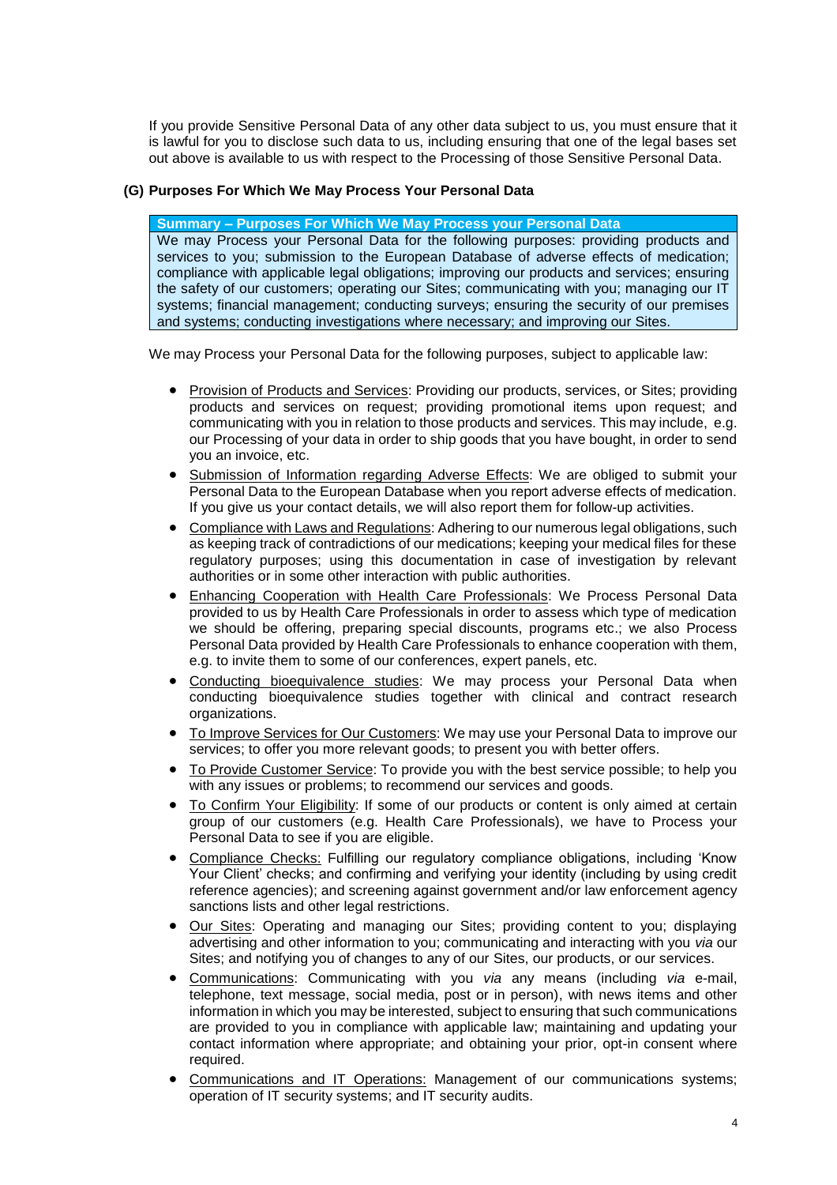If you provide Sensitive Personal Data of any other data subject to us, you must ensure that it is lawful for you to disclose such data to us, including ensuring that one of the legal bases set out above is available to us with respect to the Processing of those Sensitive Personal Data.

## **(G) Purposes For Which We May Process Your Personal Data**

**Summary – Purposes For Which We May Process your Personal Data**

We may Process your Personal Data for the following purposes: providing products and services to you; submission to the European Database of adverse effects of medication; compliance with applicable legal obligations; improving our products and services; ensuring the safety of our customers; operating our Sites; communicating with you; managing our IT systems; financial management; conducting surveys; ensuring the security of our premises and systems; conducting investigations where necessary; and improving our Sites.

We may Process your Personal Data for the following purposes, subject to applicable law:

- Provision of Products and Services: Providing our products, services, or Sites; providing products and services on request; providing promotional items upon request; and communicating with you in relation to those products and services. This may include, e.g. our Processing of your data in order to ship goods that you have bought, in order to send you an invoice, etc.
- Submission of Information regarding Adverse Effects: We are obliged to submit your Personal Data to the European Database when you report adverse effects of medication. If you give us your contact details, we will also report them for follow-up activities.
- Compliance with Laws and Regulations: Adhering to our numerous legal obligations, such as keeping track of contradictions of our medications; keeping your medical files for these regulatory purposes; using this documentation in case of investigation by relevant authorities or in some other interaction with public authorities.
- Enhancing Cooperation with Health Care Professionals: We Process Personal Data provided to us by Health Care Professionals in order to assess which type of medication we should be offering, preparing special discounts, programs etc.; we also Process Personal Data provided by Health Care Professionals to enhance cooperation with them, e.g. to invite them to some of our conferences, expert panels, etc.
- Conducting bioequivalence studies: We may process your Personal Data when conducting bioequivalence studies together with clinical and contract research organizations.
- To Improve Services for Our Customers: We may use your Personal Data to improve our services; to offer you more relevant goods; to present you with better offers.
- To Provide Customer Service: To provide you with the best service possible; to help you with any issues or problems; to recommend our services and goods.
- To Confirm Your Eligibility: If some of our products or content is only aimed at certain group of our customers (e.g. Health Care Professionals), we have to Process your Personal Data to see if you are eligible.
- Compliance Checks: Fulfilling our regulatory compliance obligations, including 'Know Your Client' checks; and confirming and verifying your identity (including by using credit reference agencies); and screening against government and/or law enforcement agency sanctions lists and other legal restrictions.
- Our Sites: Operating and managing our Sites; providing content to you; displaying advertising and other information to you; communicating and interacting with you *via* our Sites; and notifying you of changes to any of our Sites, our products, or our services.
- Communications: Communicating with you *via* any means (including *via* e-mail, telephone, text message, social media, post or in person), with news items and other information in which you may be interested, subject to ensuring that such communications are provided to you in compliance with applicable law; maintaining and updating your contact information where appropriate; and obtaining your prior, opt-in consent where required.
- Communications and IT Operations: Management of our communications systems; operation of IT security systems; and IT security audits.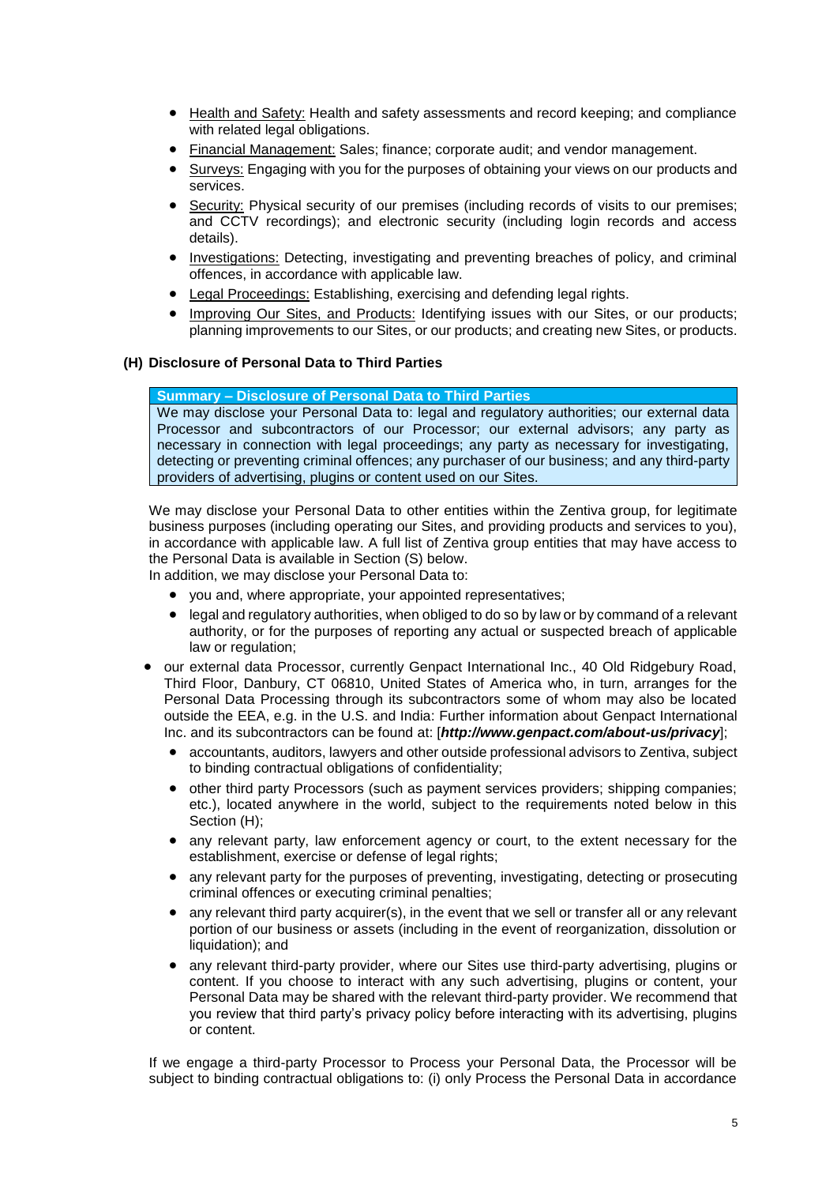- Health and Safety: Health and safety assessments and record keeping; and compliance with related legal obligations.
- Financial Management: Sales; finance; corporate audit; and vendor management.
- Surveys: Engaging with you for the purposes of obtaining your views on our products and services.
- Security: Physical security of our premises (including records of visits to our premises; and CCTV recordings); and electronic security (including login records and access details).
- Investigations: Detecting, investigating and preventing breaches of policy, and criminal offences, in accordance with applicable law.
- Legal Proceedings: Establishing, exercising and defending legal rights.
- Improving Our Sites, and Products: Identifying issues with our Sites, or our products; planning improvements to our Sites, or our products; and creating new Sites, or products.

### <span id="page-4-0"></span>**(H) Disclosure of Personal Data to Third Parties**

# **Summary – Disclosure of Personal Data to Third Parties**

We may disclose your Personal Data to: legal and regulatory authorities; our external data Processor and subcontractors of our Processor; our external advisors; any party as necessary in connection with legal proceedings; any party as necessary for investigating, detecting or preventing criminal offences; any purchaser of our business; and any third-party providers of advertising, plugins or content used on our Sites.

We may disclose your Personal Data to other entities within the Zentiva group, for legitimate business purposes (including operating our Sites, and providing products and services to you), in accordance with applicable law. A full list of Zentiva group entities that may have access to the Personal Data is available in Section [\(S\)](#page-9-0) below.

In addition, we may disclose your Personal Data to:

- you and, where appropriate, your appointed representatives;
- legal and regulatory authorities, when obliged to do so by law or by command of a relevant authority, or for the purposes of reporting any actual or suspected breach of applicable law or regulation;
- our external data Processor, currently Genpact International Inc., 40 Old Ridgebury Road, Third Floor, Danbury, CT 06810, United States of America who, in turn, arranges for the Personal Data Processing through its subcontractors some of whom may also be located outside the EEA, e.g. in the U.S. and India: Further information about Genpact International Inc. and its subcontractors can be found at: [*http://www.genpact.com/about-us/privacy*];
	- accountants, auditors, lawyers and other outside professional advisors to Zentiva, subject to binding contractual obligations of confidentiality;
	- other third party Processors (such as payment services providers; shipping companies; etc.), located anywhere in the world, subject to the requirements noted below in this Section [\(H\);](#page-4-0)
	- any relevant party, law enforcement agency or court, to the extent necessary for the establishment, exercise or defense of legal rights;
	- any relevant party for the purposes of preventing, investigating, detecting or prosecuting criminal offences or executing criminal penalties;
	- any relevant third party acquirer(s), in the event that we sell or transfer all or any relevant portion of our business or assets (including in the event of reorganization, dissolution or liquidation); and
	- any relevant third-party provider, where our Sites use third-party advertising, plugins or content. If you choose to interact with any such advertising, plugins or content, your Personal Data may be shared with the relevant third-party provider. We recommend that you review that third party's privacy policy before interacting with its advertising, plugins or content.

If we engage a third-party Processor to Process your Personal Data, the Processor will be subject to binding contractual obligations to: (i) only Process the Personal Data in accordance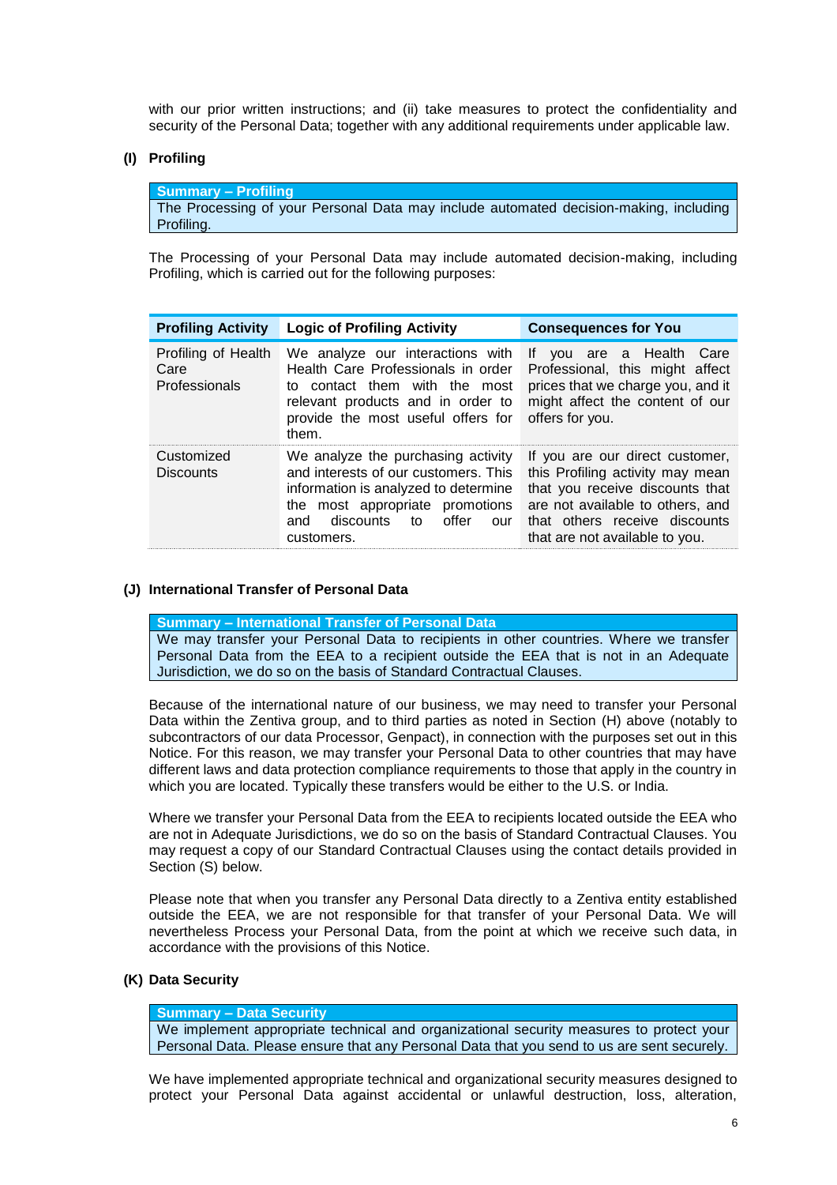with our prior written instructions; and (ii) take measures to protect the confidentiality and security of the Personal Data; together with any additional requirements under applicable law.

#### **(I) Profiling**

**Summary – Profiling** The Processing of your Personal Data may include automated decision-making, including Profiling.

The Processing of your Personal Data may include automated decision-making, including Profiling, which is carried out for the following purposes:

| <b>Profiling Activity</b>                    | <b>Logic of Profiling Activity</b>                                                                                                                                                                      | <b>Consequences for You</b>                                                                                                                                                                                   |
|----------------------------------------------|---------------------------------------------------------------------------------------------------------------------------------------------------------------------------------------------------------|---------------------------------------------------------------------------------------------------------------------------------------------------------------------------------------------------------------|
| Profiling of Health<br>Care<br>Professionals | We analyze our interactions with<br>Health Care Professionals in order<br>to contact them with the most<br>relevant products and in order to<br>provide the most useful offers for<br>them.             | If you are a Health Care<br>Professional, this might affect<br>prices that we charge you, and it<br>might affect the content of our<br>offers for you.                                                        |
| Customized<br><b>Discounts</b>               | We analyze the purchasing activity<br>and interests of our customers. This<br>information is analyzed to determine<br>the most appropriate promotions<br>discounts to offer<br>and<br>our<br>customers. | If you are our direct customer,<br>this Profiling activity may mean<br>that you receive discounts that<br>are not available to others, and<br>that others receive discounts<br>that are not available to you. |

### **(J) International Transfer of Personal Data**

**Summary – International Transfer of Personal Data**

We may transfer your Personal Data to recipients in other countries. Where we transfer Personal Data from the EEA to a recipient outside the EEA that is not in an Adequate Jurisdiction, we do so on the basis of Standard Contractual Clauses.

Because of the international nature of our business, we may need to transfer your Personal Data within the Zentiva group, and to third parties as noted in Section [\(H\)](#page-4-0) above (notably to subcontractors of our data Processor, Genpact), in connection with the purposes set out in this Notice. For this reason, we may transfer your Personal Data to other countries that may have different laws and data protection compliance requirements to those that apply in the country in which you are located. Typically these transfers would be either to the U.S. or India.

Where we transfer your Personal Data from the EEA to recipients located outside the EEA who are not in Adequate Jurisdictions, we do so on the basis of Standard Contractual Clauses. You may request a copy of our Standard Contractual Clauses using the contact details provided in Section [\(S\)](#page-9-0) below.

Please note that when you transfer any Personal Data directly to a Zentiva entity established outside the EEA, we are not responsible for that transfer of your Personal Data. We will nevertheless Process your Personal Data, from the point at which we receive such data, in accordance with the provisions of this Notice.

## **(K) Data Security**

# **Summary – Data Security**

We implement appropriate technical and organizational security measures to protect your Personal Data. Please ensure that any Personal Data that you send to us are sent securely.

We have implemented appropriate technical and organizational security measures designed to protect your Personal Data against accidental or unlawful destruction, loss, alteration,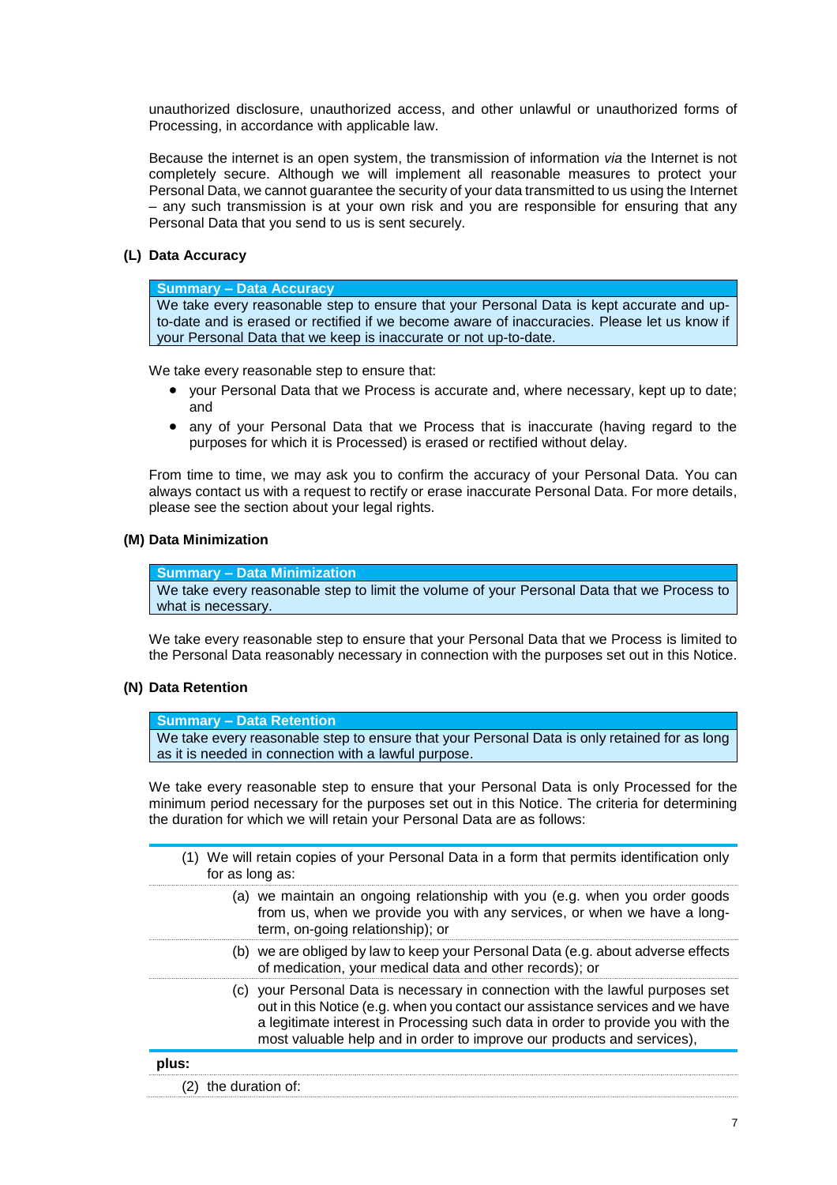unauthorized disclosure, unauthorized access, and other unlawful or unauthorized forms of Processing, in accordance with applicable law.

Because the internet is an open system, the transmission of information *via* the Internet is not completely secure. Although we will implement all reasonable measures to protect your Personal Data, we cannot guarantee the security of your data transmitted to us using the Internet – any such transmission is at your own risk and you are responsible for ensuring that any Personal Data that you send to us is sent securely.

## **(L) Data Accuracy**

#### **Summary – Data Accuracy**

We take every reasonable step to ensure that your Personal Data is kept accurate and upto-date and is erased or rectified if we become aware of inaccuracies. Please let us know if your Personal Data that we keep is inaccurate or not up-to-date.

We take every reasonable step to ensure that:

- your Personal Data that we Process is accurate and, where necessary, kept up to date; and
- any of your Personal Data that we Process that is inaccurate (having regard to the purposes for which it is Processed) is erased or rectified without delay.

From time to time, we may ask you to confirm the accuracy of your Personal Data. You can always contact us with a request to rectify or erase inaccurate Personal Data. For more details, please see the section about your legal rights.

### **(M) Data Minimization**

**Summary – Data Minimization** We take every reasonable step to limit the volume of your Personal Data that we Process to what is necessary.

We take every reasonable step to ensure that your Personal Data that we Process is limited to the Personal Data reasonably necessary in connection with the purposes set out in this Notice.

## **(N) Data Retention**

**Summary – Data Retention**

We take every reasonable step to ensure that your Personal Data is only retained for as long as it is needed in connection with a lawful purpose.

We take every reasonable step to ensure that your Personal Data is only Processed for the minimum period necessary for the purposes set out in this Notice. The criteria for determining the duration for which we will retain your Personal Data are as follows:

<span id="page-6-0"></span>(1) We will retain copies of your Personal Data in a form that permits identification only for as long as:

- (a) we maintain an ongoing relationship with you (e.g. when you order goods from us, when we provide you with any services, or when we have a longterm, on-going relationship); or
- (b) we are obliged by law to keep your Personal Data (e.g. about adverse effects of medication, your medical data and other records); or
- (c) your Personal Data is necessary in connection with the lawful purposes set out in this Notice (e.g. when you contact our assistance services and we have a legitimate interest in Processing such data in order to provide you with the most valuable help and in order to improve our products and services),

<span id="page-6-1"></span>

| plus: |                      |
|-------|----------------------|
|       | (2) the duration of: |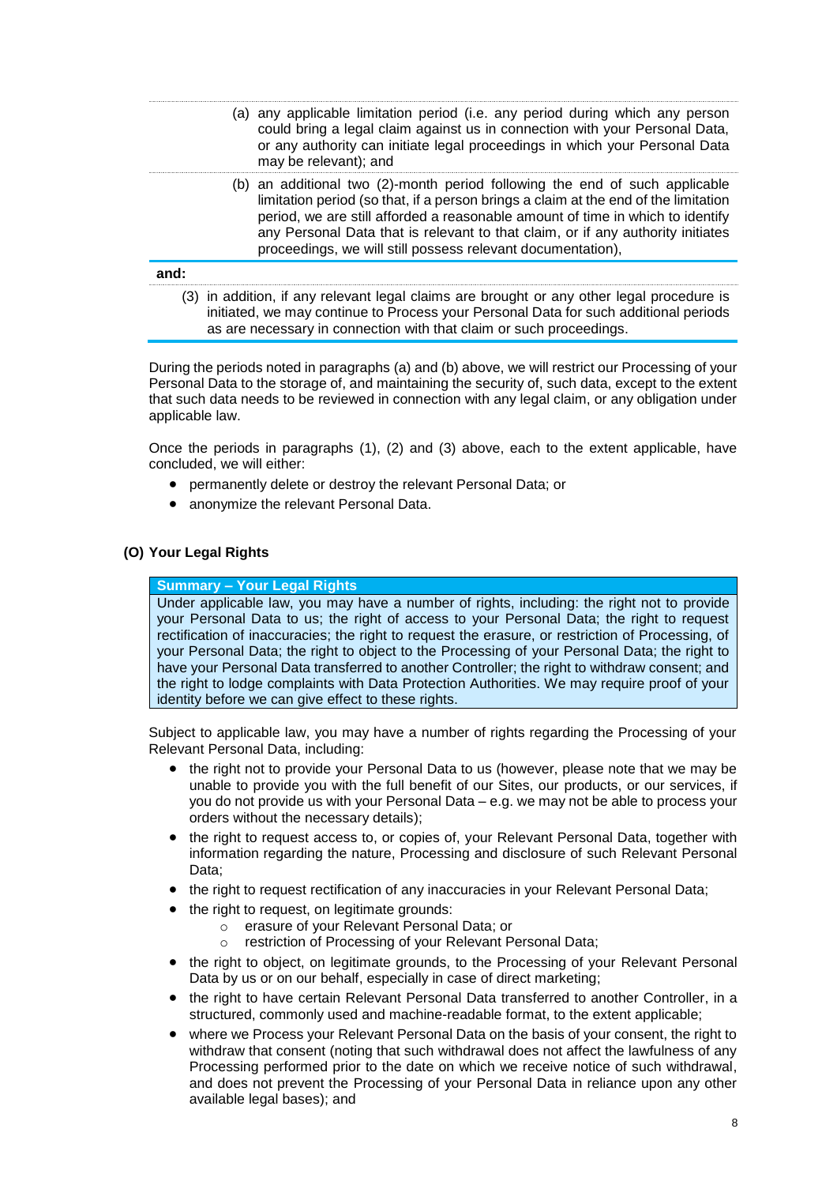- <span id="page-7-0"></span>(a) any applicable limitation period (i.e. any period during which any person could bring a legal claim against us in connection with your Personal Data, or any authority can initiate legal proceedings in which your Personal Data may be relevant); and
- <span id="page-7-1"></span>(b) an additional two (2)-month period following the end of such applicable limitation period (so that, if a person brings a claim at the end of the limitation period, we are still afforded a reasonable amount of time in which to identify any Personal Data that is relevant to that claim, or if any authority initiates proceedings, we will still possess relevant documentation),

### <span id="page-7-2"></span>**and:**

(3) in addition, if any relevant legal claims are brought or any other legal procedure is initiated, we may continue to Process your Personal Data for such additional periods as are necessary in connection with that claim or such proceedings.

During the periods noted in paragraphs [\(a\)](#page-7-0) and [\(b\)](#page-7-1) above, we will restrict our Processing of your Personal Data to the storage of, and maintaining the security of, such data, except to the extent that such data needs to be reviewed in connection with any legal claim, or any obligation under applicable law.

Once the periods in paragraphs [\(1\),](#page-6-0) [\(2\)](#page-6-1) and [\(3\)](#page-7-2) above, each to the extent applicable, have concluded, we will either:

- permanently delete or destroy the relevant Personal Data; or
- anonymize the relevant Personal Data.

## **(O) Your Legal Rights**

### **Summary – Your Legal Rights**

Under applicable law, you may have a number of rights, including: the right not to provide your Personal Data to us; the right of access to your Personal Data; the right to request rectification of inaccuracies; the right to request the erasure, or restriction of Processing, of your Personal Data; the right to object to the Processing of your Personal Data; the right to have your Personal Data transferred to another Controller; the right to withdraw consent; and the right to lodge complaints with Data Protection Authorities. We may require proof of your identity before we can give effect to these rights.

Subject to applicable law, you may have a number of rights regarding the Processing of your Relevant Personal Data, including:

- the right not to provide your Personal Data to us (however, please note that we may be unable to provide you with the full benefit of our Sites, our products, or our services, if you do not provide us with your Personal Data – e.g. we may not be able to process your orders without the necessary details);
- the right to request access to, or copies of, your Relevant Personal Data, together with information regarding the nature, Processing and disclosure of such Relevant Personal Data;
- the right to request rectification of any inaccuracies in your Relevant Personal Data;
- the right to request, on legitimate grounds:
	- o erasure of your Relevant Personal Data; or
	- o restriction of Processing of your Relevant Personal Data;
- the right to object, on legitimate grounds, to the Processing of your Relevant Personal Data by us or on our behalf, especially in case of direct marketing;
- the right to have certain Relevant Personal Data transferred to another Controller, in a structured, commonly used and machine-readable format, to the extent applicable;
- where we Process your Relevant Personal Data on the basis of your consent, the right to withdraw that consent (noting that such withdrawal does not affect the lawfulness of any Processing performed prior to the date on which we receive notice of such withdrawal, and does not prevent the Processing of your Personal Data in reliance upon any other available legal bases); and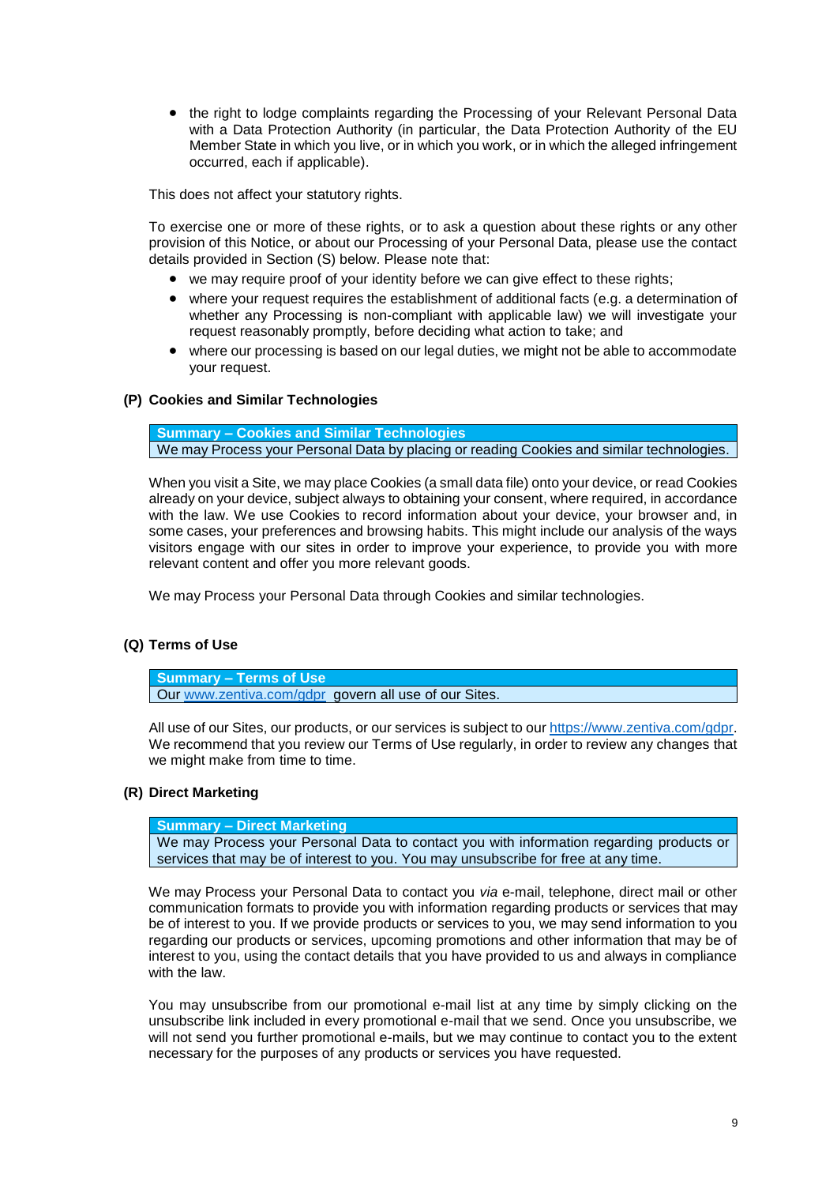• the right to lodge complaints regarding the Processing of your Relevant Personal Data with a Data Protection Authority (in particular, the Data Protection Authority of the EU Member State in which you live, or in which you work, or in which the alleged infringement occurred, each if applicable).

This does not affect your statutory rights.

To exercise one or more of these rights, or to ask a question about these rights or any other provision of this Notice, or about our Processing of your Personal Data, please use the contact details provided in Section [\(S\)](#page-9-0) below. Please note that:

- we may require proof of your identity before we can give effect to these rights;
- where your request requires the establishment of additional facts (e.g. a determination of whether any Processing is non-compliant with applicable law) we will investigate your request reasonably promptly, before deciding what action to take; and
- where our processing is based on our legal duties, we might not be able to accommodate your request.

#### **(P) Cookies and Similar Technologies**

**Summary – Cookies and Similar Technologies** We may Process your Personal Data by placing or reading Cookies and similar technologies.

When you visit a Site, we may place Cookies (a small data file) onto your device, or read Cookies already on your device, subject always to obtaining your consent, where required, in accordance with the law. We use Cookies to record information about your device, your browser and, in some cases, your preferences and browsing habits. This might include our analysis of the ways visitors engage with our sites in order to improve your experience, to provide you with more relevant content and offer you more relevant goods.

We may Process your Personal Data through Cookies and similar technologies.

### **(Q) Terms of Use**

**Summary – Terms of Use** Our [www.zentiva.com/gdpr](http://www.zentiva.com/gdpr) govern all use of our Sites.

All use of our Sites, our products, or our services is subject to our [https://www.zentiva.com/gdpr.](https://www.zentiva.com/gdpr) We recommend that you review our Terms of Use regularly, in order to review any changes that we might make from time to time.

### **(R) Direct Marketing**

**Summary – Direct Marketing**

We may Process your Personal Data to contact you with information regarding products or services that may be of interest to you. You may unsubscribe for free at any time.

We may Process your Personal Data to contact you *via* e-mail, telephone, direct mail or other communication formats to provide you with information regarding products or services that may be of interest to you. If we provide products or services to you, we may send information to you regarding our products or services, upcoming promotions and other information that may be of interest to you, using the contact details that you have provided to us and always in compliance with the law.

You may unsubscribe from our promotional e-mail list at any time by simply clicking on the unsubscribe link included in every promotional e-mail that we send. Once you unsubscribe, we will not send you further promotional e-mails, but we may continue to contact you to the extent necessary for the purposes of any products or services you have requested.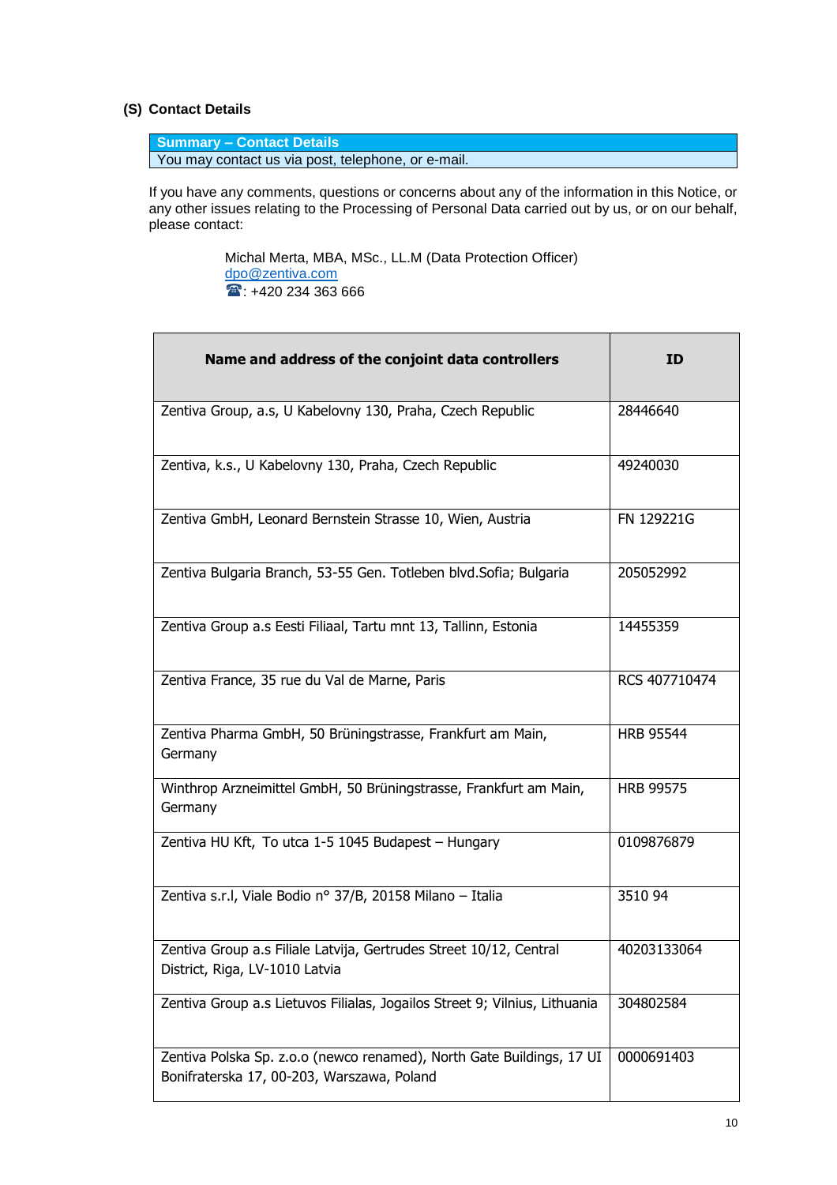### <span id="page-9-0"></span>**(S) Contact Details**

**Summary – Contact Details** You may contact us via post, telephone, or e-mail.

If you have any comments, questions or concerns about any of the information in this Notice, or any other issues relating to the Processing of Personal Data carried out by us, or on our behalf, please contact:

> Michal Merta, MBA, MSc., LL.M (Data Protection Officer) [dpo@zentiva.com](mailto:dpo@zentiva.com)  $\textcolor{blue}{\bullet}$ : +420 234 363 666

| Name and address of the conjoint data controllers                                                                   | ID               |
|---------------------------------------------------------------------------------------------------------------------|------------------|
|                                                                                                                     |                  |
| Zentiva Group, a.s, U Kabelovny 130, Praha, Czech Republic                                                          | 28446640         |
| Zentiva, k.s., U Kabelovny 130, Praha, Czech Republic                                                               | 49240030         |
| Zentiva GmbH, Leonard Bernstein Strasse 10, Wien, Austria                                                           | FN 129221G       |
| Zentiva Bulgaria Branch, 53-55 Gen. Totleben blvd. Sofia; Bulgaria                                                  | 205052992        |
| Zentiva Group a.s Eesti Filiaal, Tartu mnt 13, Tallinn, Estonia                                                     | 14455359         |
| Zentiva France, 35 rue du Val de Marne, Paris                                                                       | RCS 407710474    |
| Zentiva Pharma GmbH, 50 Brüningstrasse, Frankfurt am Main,<br>Germany                                               | <b>HRB 95544</b> |
| Winthrop Arzneimittel GmbH, 50 Brüningstrasse, Frankfurt am Main,<br>Germany                                        | <b>HRB 99575</b> |
| Zentiva HU Kft, To utca 1-5 1045 Budapest - Hungary                                                                 | 0109876879       |
| Zentiva s.r.l, Viale Bodio nº 37/B, 20158 Milano - Italia                                                           | 3510 94          |
| Zentiva Group a.s Filiale Latvija, Gertrudes Street 10/12, Central<br>District, Riga, LV-1010 Latvia                | 40203133064      |
| Zentiva Group a.s Lietuvos Filialas, Jogailos Street 9; Vilnius, Lithuania                                          | 304802584        |
| Zentiva Polska Sp. z.o.o (newco renamed), North Gate Buildings, 17 UI<br>Bonifraterska 17, 00-203, Warszawa, Poland | 0000691403       |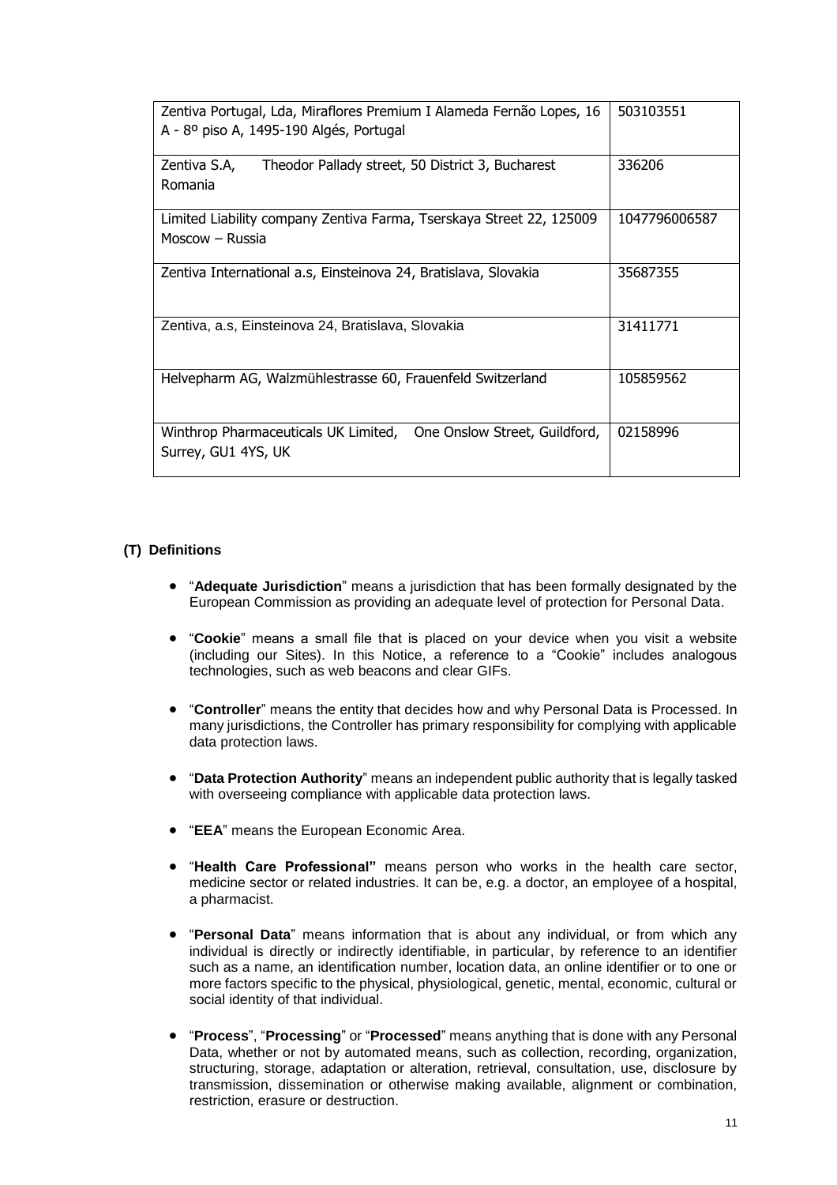| Zentiva Portugal, Lda, Miraflores Premium I Alameda Fernão Lopes, 16<br>A - 8º piso A, 1495-190 Algés, Portugal | 503103551     |
|-----------------------------------------------------------------------------------------------------------------|---------------|
| Zentiva S.A,<br>Theodor Pallady street, 50 District 3, Bucharest<br>Romania                                     | 336206        |
| Limited Liability company Zentiva Farma, Tserskaya Street 22, 125009<br>Moscow - Russia                         | 1047796006587 |
| Zentiva International a.s, Einsteinova 24, Bratislava, Slovakia                                                 | 35687355      |
| Zentiva, a.s, Einsteinova 24, Bratislava, Slovakia                                                              | 31411771      |
| Helvepharm AG, Walzmühlestrasse 60, Frauenfeld Switzerland                                                      | 105859562     |
| Winthrop Pharmaceuticals UK Limited, One Onslow Street, Guildford,<br>Surrey, GU1 4YS, UK                       | 02158996      |

# <span id="page-10-0"></span>**(T) Definitions**

- "**Adequate Jurisdiction**" means a jurisdiction that has been formally designated by the European Commission as providing an adequate level of protection for Personal Data.
- "**Cookie**" means a small file that is placed on your device when you visit a website (including our Sites). In this Notice, a reference to a "Cookie" includes analogous technologies, such as web beacons and clear GIFs.
- "**Controller**" means the entity that decides how and why Personal Data is Processed. In many jurisdictions, the Controller has primary responsibility for complying with applicable data protection laws.
- "**Data Protection Authority**" means an independent public authority that is legally tasked with overseeing compliance with applicable data protection laws.
- "**EEA**" means the European Economic Area.
- "**Health Care Professional"** means person who works in the health care sector, medicine sector or related industries. It can be, e.g. a doctor, an employee of a hospital, a pharmacist.
- "**Personal Data**" means information that is about any individual, or from which any individual is directly or indirectly identifiable, in particular, by reference to an identifier such as a name, an identification number, location data, an online identifier or to one or more factors specific to the physical, physiological, genetic, mental, economic, cultural or social identity of that individual.
- "**Process**", "**Processing**" or "**Processed**" means anything that is done with any Personal Data, whether or not by automated means, such as collection, recording, organization, structuring, storage, adaptation or alteration, retrieval, consultation, use, disclosure by transmission, dissemination or otherwise making available, alignment or combination, restriction, erasure or destruction.